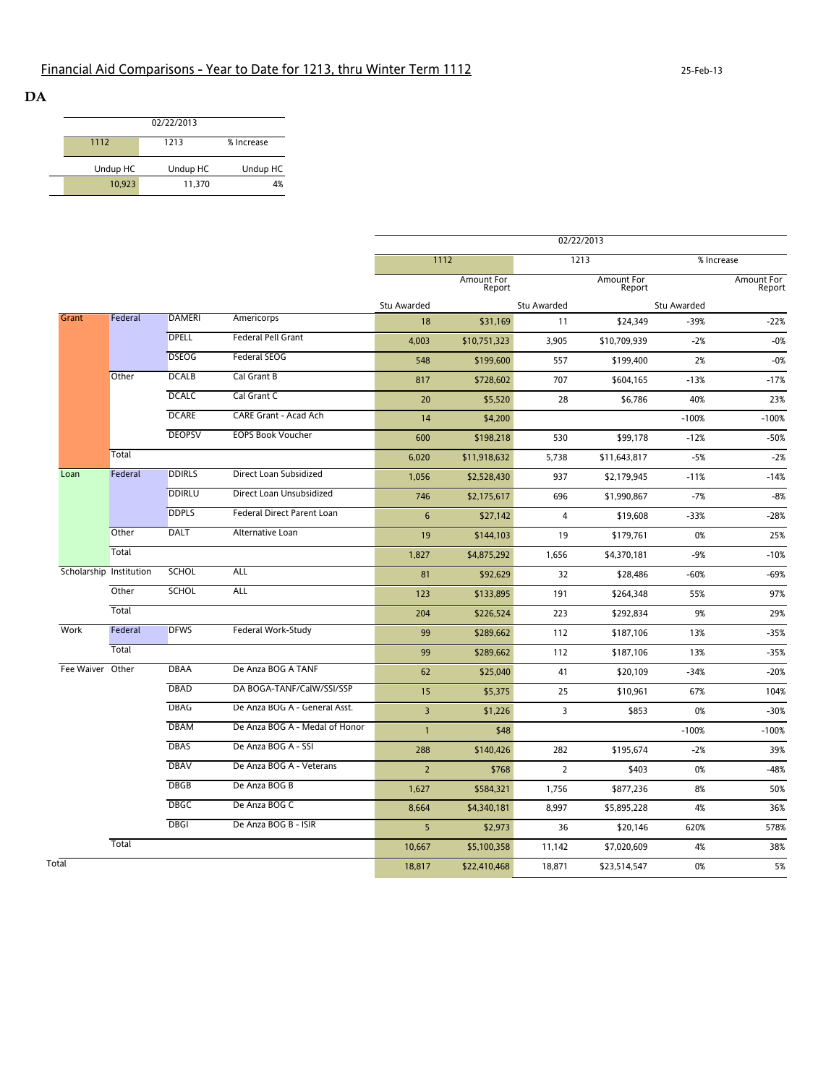**DA**

 $\overline{\phantom{a}}$ 

|          | 02/22/2013 |            |
|----------|------------|------------|
| 1112     | 1213       | % Increase |
| Undup HC | Undup HC   | Undup HC   |
| 10.923   | 11.370     | 4%         |

|                  |                         |               |                                   | 02/22/2013      |                             |                |                             |             |                      |
|------------------|-------------------------|---------------|-----------------------------------|-----------------|-----------------------------|----------------|-----------------------------|-------------|----------------------|
|                  |                         |               |                                   | 1112            |                             | 1213           |                             | % Increase  |                      |
|                  |                         |               |                                   |                 | <b>Amount For</b><br>Report |                | <b>Amount For</b><br>Report |             | Amount For<br>Report |
|                  |                         |               |                                   | Stu Awarded     |                             | Stu Awarded    |                             | Stu Awarded |                      |
| Grant            | Federal                 | <b>DAMERI</b> | Americorps                        | 18              | \$31,169                    | 11             | \$24,349                    | $-39%$      | $-22%$               |
|                  |                         | <b>DPELL</b>  | <b>Federal Pell Grant</b>         | 4,003           | \$10,751,323                | 3,905          | \$10,709,939                | $-2%$       | $-0%$                |
|                  |                         | <b>DSEOG</b>  | <b>Federal SEOG</b>               | 548             | \$199,600                   | 557            | \$199,400                   | 2%          | $-0%$                |
|                  | Other                   | <b>DCALB</b>  | Cal Grant B                       | 817             | \$728,602                   | 707            | \$604,165                   | $-13%$      | $-17%$               |
|                  |                         | <b>DCALC</b>  | Cal Grant C                       | 20              | \$5,520                     | 28             | \$6,786                     | 40%         | 23%                  |
|                  |                         | <b>DCARE</b>  | <b>CARE Grant - Acad Ach</b>      | 14              | \$4,200                     |                |                             | $-100%$     | $-100%$              |
|                  |                         | <b>DEOPSV</b> | <b>EOPS Book Voucher</b>          | 600             | \$198,218                   | 530            | \$99.178                    | $-12%$      | $-50%$               |
|                  | Total                   |               |                                   | 6,020           | \$11,918,632                | 5,738          | \$11,643,817                | $-5%$       | $-2%$                |
| Loan             | Federal                 | <b>DDIRLS</b> | Direct Loan Subsidized            | 1,056           | \$2,528,430                 | 937            | \$2,179,945                 | $-11%$      | $-14%$               |
|                  |                         | <b>DDIRLU</b> | Direct Loan Unsubsidized          | 746             | \$2,175,617                 | 696            | \$1,990,867                 | $-7%$       | $-8%$                |
|                  |                         | <b>DDPLS</b>  | <b>Federal Direct Parent Loan</b> | $6\overline{6}$ | \$27,142                    | 4              | \$19,608                    | $-33%$      | $-28%$               |
|                  | Other                   | <b>DALT</b>   | Alternative Loan                  | 19              | \$144,103                   | 19             | \$179,761                   | 0%          | 25%                  |
|                  | Total                   |               |                                   | 1,827           | \$4,875,292                 | 1,656          | \$4,370,181                 | $-9%$       | $-10%$               |
|                  | Scholarship Institution | <b>SCHOL</b>  | <b>ALL</b>                        | 81              | \$92,629                    | 32             | \$28,486                    | $-60%$      | $-69%$               |
|                  | Other                   | <b>SCHOL</b>  | <b>ALL</b>                        | 123             | \$133,895                   | 191            | \$264,348                   | 55%         | 97%                  |
|                  | <b>Total</b>            |               |                                   | 204             | \$226,524                   | 223            | \$292,834                   | 9%          | 29%                  |
| Work             | Federal                 | <b>DFWS</b>   | Federal Work-Study                | 99              | \$289,662                   | 112            | \$187,106                   | 13%         | $-35%$               |
|                  | Total                   |               |                                   | 99              | \$289,662                   | 112            | \$187,106                   | 13%         | $-35%$               |
| Fee Waiver Other |                         | <b>DBAA</b>   | De Anza BOG A TANF                | 62              | \$25,040                    | 41             | \$20,109                    | $-34%$      | $-20%$               |
|                  |                         | <b>DBAD</b>   | DA BOGA-TANF/CalW/SSI/SSP         | 15              | \$5,375                     | 25             | \$10,961                    | 67%         | 104%                 |
|                  |                         | <b>DBAG</b>   | De Anza BOG A - General Asst.     | $\overline{3}$  | \$1,226                     | 3              | \$853                       | 0%          | $-30%$               |
|                  |                         | <b>DBAM</b>   | De Anza BOG A - Medal of Honor    | $\mathbf{1}$    | \$48                        |                |                             | $-100%$     | $-100%$              |
|                  |                         | <b>DBAS</b>   | De Anza BOG A - SSI               | 288             | \$140,426                   | 282            | \$195,674                   | $-2%$       | 39%                  |
|                  |                         | <b>DBAV</b>   | De Anza BOG A - Veterans          | $\overline{2}$  | \$768                       | $\overline{2}$ | \$403                       | 0%          | $-48%$               |
|                  |                         | <b>DBGB</b>   | De Anza BOG B                     | 1,627           | \$584,321                   | 1,756          | \$877,236                   | 8%          | 50%                  |
|                  |                         | <b>DBGC</b>   | De Anza BOG C                     | 8,664           | \$4,340,181                 | 8,997          | \$5,895,228                 | 4%          | 36%                  |
|                  |                         | <b>DBGI</b>   | De Anza BOG B - ISIR              | 5               | \$2,973                     | 36             | \$20,146                    | 620%        | 578%                 |
|                  | <b>Total</b>            |               |                                   | 10,667          | \$5,100,358                 | 11,142         | \$7,020,609                 | 4%          | 38%                  |
| Total            |                         |               |                                   | 18,817          | \$22,410,468                | 18,871         | \$23,514,547                | 0%          | 5%                   |
|                  |                         |               |                                   |                 |                             |                |                             |             |                      |